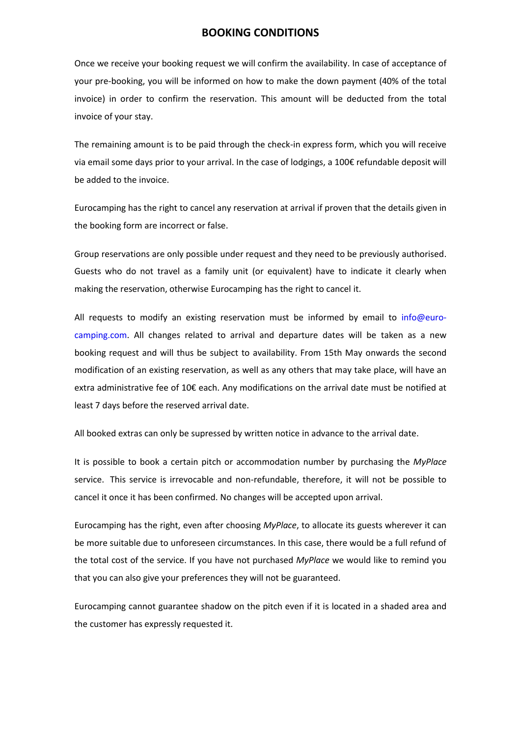### **BOOKING CONDITIONS**

Once we receive your booking request we will confirm the availability. In case of acceptance of your pre-booking, you will be informed on how to make the down payment (40% of the total invoice) in order to confirm the reservation. This amount will be deducted from the total invoice of your stay.

The remaining amount is to be paid through the check-in express form, which you will receive via email some days prior to your arrival. In the case of lodgings, a 100€ refundable deposit will be added to the invoice.

Eurocamping has the right to cancel any reservation at arrival if proven that the details given in the booking form are incorrect or false.

Group reservations are only possible under request and they need to be previously authorised. Guests who do not travel as a family unit (or equivalent) have to indicate it clearly when making the reservation, otherwise Eurocamping has the right to cancel it.

All requests to modify an existing reservation must be informed by email to info@eurocamping.com. All changes related to arrival and departure dates will be taken as a new booking request and will thus be subject to availability. From 15th May onwards the second modification of an existing reservation, as well as any others that may take place, will have an extra administrative fee of 10€ each. Any modifications on the arrival date must be notified at least 7 days before the reserved arrival date.

All booked extras can only be supressed by written notice in advance to the arrival date.

It is possible to book a certain pitch or accommodation number by purchasing the *MyPlace* service. This service is irrevocable and non-refundable, therefore, it will not be possible to cancel it once it has been confirmed. No changes will be accepted upon arrival.

Eurocamping has the right, even after choosing *MyPlace*, to allocate its guests wherever it can be more suitable due to unforeseen circumstances. In this case, there would be a full refund of the total cost of the service. If you have not purchased *MyPlace* we would like to remind you that you can also give your preferences they will not be guaranteed.

Eurocamping cannot guarantee shadow on the pitch even if it is located in a shaded area and the customer has expressly requested it.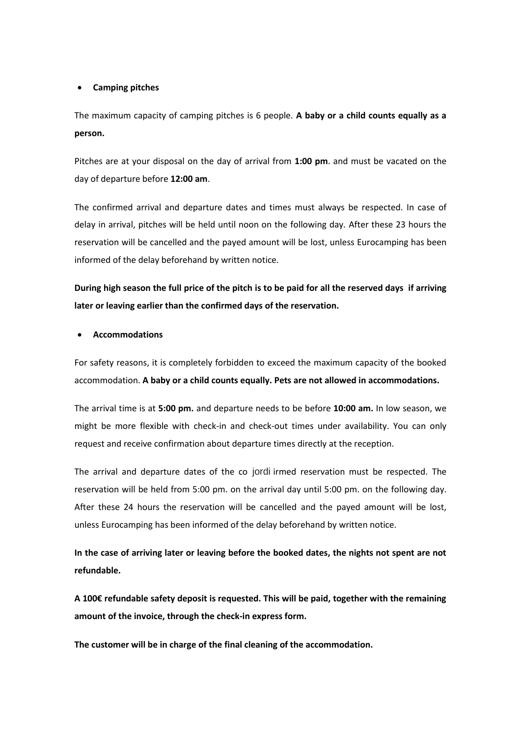#### **Camping pitches**

The maximum capacity of camping pitches is 6 people. **A baby or a child counts equally as a person.**

Pitches are at your disposal on the day of arrival from **1:00 pm**. and must be vacated on the day of departure before **12:00 am**.

The confirmed arrival and departure dates and times must always be respected. In case of delay in arrival, pitches will be held until noon on the following day. After these 23 hours the reservation will be cancelled and the payed amount will be lost, unless Eurocamping has been informed of the delay beforehand by written notice.

**During high season the full price of the pitch is to be paid for all the reserved days if arriving later or leaving earlier than the confirmed days of the reservation.**

#### **Accommodations**

For safety reasons, it is completely forbidden to exceed the maximum capacity of the booked accommodation. **A baby or a child counts equally. Pets are not allowed in accommodations.**

The arrival time is at **5:00 pm.** and departure needs to be before **10:00 am.** In low season, we might be more flexible with check-in and check-out times under availability. You can only request and receive confirmation about departure times directly at the reception.

The arrival and departure dates of the co jordi irmed reservation must be respected. The reservation will be held from 5:00 pm. on the arrival day until 5:00 pm. on the following day. After these 24 hours the reservation will be cancelled and the payed amount will be lost, unless Eurocamping has been informed of the delay beforehand by written notice.

**In the case of arriving later or leaving before the booked dates, the nights not spent are not refundable.**

**A 100€ refundable safety deposit is requested. This will be paid, together with the remaining amount of the invoice, through the check-in express form.**

**The customer will be in charge of the final cleaning of the accommodation.**